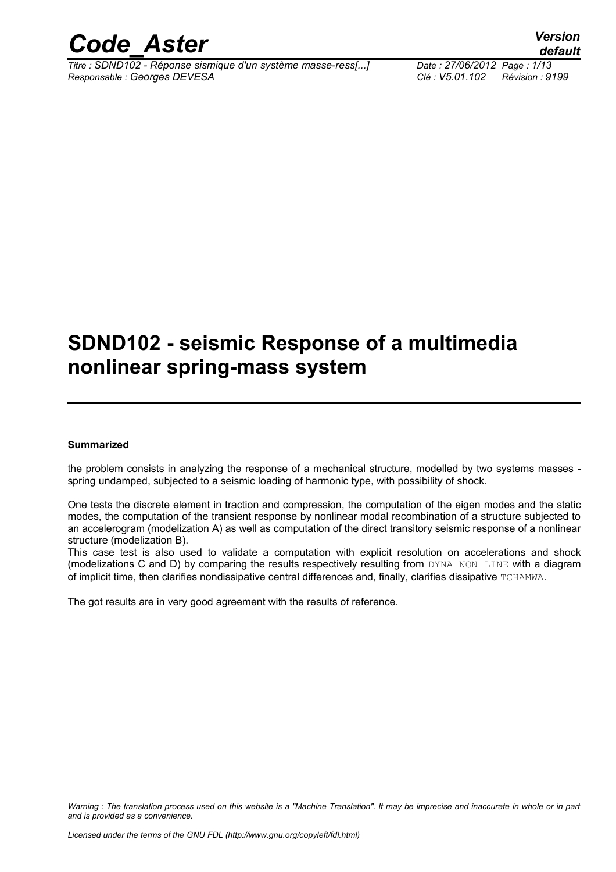

# **SDND102 - seismic Response of a multimedia nonlinear spring-mass system**

#### **Summarized**

the problem consists in analyzing the response of a mechanical structure, modelled by two systems masses spring undamped, subjected to a seismic loading of harmonic type, with possibility of shock.

One tests the discrete element in traction and compression, the computation of the eigen modes and the static modes, the computation of the transient response by nonlinear modal recombination of a structure subjected to an accelerogram (modelization A) as well as computation of the direct transitory seismic response of a nonlinear structure (modelization B).

This case test is also used to validate a computation with explicit resolution on accelerations and shock (modelizations C and D) by comparing the results respectively resulting from DYNA\_NON\_LINE with a diagram of implicit time, then clarifies nondissipative central differences and, finally, clarifies dissipative TCHAMWA.

The got results are in very good agreement with the results of reference.

*Warning : The translation process used on this website is a "Machine Translation". It may be imprecise and inaccurate in whole or in part and is provided as a convenience.*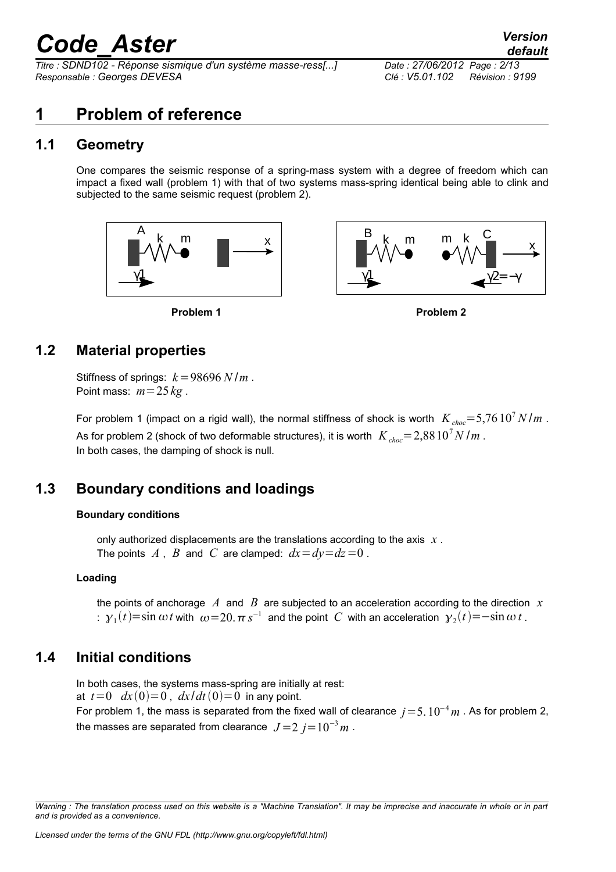*Titre : SDND102 - Réponse sismique d'un système masse-ress[...] Date : 27/06/2012 Page : 2/13 Responsable : Georges DEVESA Clé : V5.01.102 Révision : 9199*

## **1 Problem of reference**

#### **1.1 Geometry**

One compares the seismic response of a spring-mass system with a degree of freedom which can impact a fixed wall (problem 1) with that of two systems mass-spring identical being able to clink and subjected to the same seismic request (problem 2).







#### **1.2 Material properties**

Stiffness of springs:  $k = 98696 N/m$ . Point mass:  $m = 25 \text{ kg}$ .

For problem 1 (impact on a rigid wall), the normal stiffness of shock is worth  $K_{choc} = 5,76 \cdot 10^7 N/m$ . As for problem 2 (shock of two deformable structures), it is worth  $K_{choc} = 2{,}8810^7 N/m$ . In both cases, the damping of shock is null.

### **1.3 Boundary conditions and loadings**

#### **Boundary conditions**

only authorized displacements are the translations according to the axis *x* . The points  $A$ ,  $B$  and  $C$  are clamped:  $dx = dy = dz = 0$ .

#### **Loading**

the points of anchorage *A* and *B* are subjected to an acceleration according to the direction *x*  $\pm$  γ<sub>1</sub>(*t*)=sin  $\omega$ *t* with  $\omega$ =20.πs<sup>−1</sup> and the point *C* with an acceleration γ<sub>2</sub>(*t*)=−sin  $\omega$  *t* .

#### **1.4 Initial conditions**

In both cases, the systems mass-spring are initially at rest: at  $t=0$   $dx(0)=0$ ,  $dx/dt(0)=0$  in any point. For problem 1, the mass is separated from the fixed wall of clearance  $j=5. 10^{-4} m$ . As for problem 2, the masses are separated from clearance  $J = 2 j = 10^{-3} m$ .

*Warning : The translation process used on this website is a "Machine Translation". It may be imprecise and inaccurate in whole or in part and is provided as a convenience.*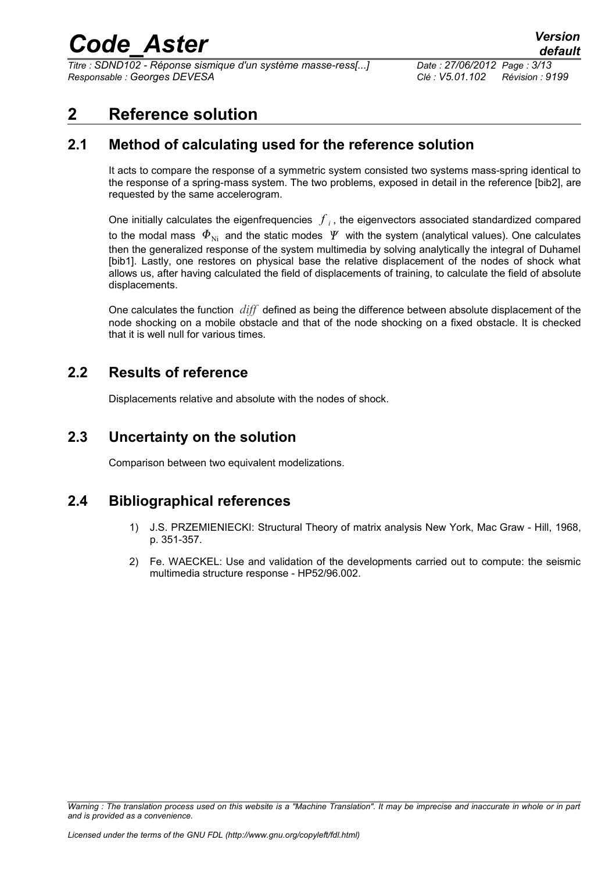*Titre : SDND102 - Réponse sismique d'un système masse-ress[...] Date : 27/06/2012 Page : 3/13 Responsable : Georges DEVESA Clé : V5.01.102 Révision : 9199*

## **2 Reference solution**

### **2.1 Method of calculating used for the reference solution**

It acts to compare the response of a symmetric system consisted two systems mass-spring identical to the response of a spring-mass system. The two problems, exposed in detail in the reference [bib2], are requested by the same accelerogram.

One initially calculates the eigenfrequencies  $\left\vert f\right\rangle _{i}$ , the eigenvectors associated standardized compared to the modal mass  $\Phi_{\textrm{Ni}}$  and the static modes  $\varPsi$  with the system (analytical values). One calculates then the generalized response of the system multimedia by solving analytically the integral of Duhamel [bib1]. Lastly, one restores on physical base the relative displacement of the nodes of shock what allows us, after having calculated the field of displacements of training, to calculate the field of absolute displacements.

One calculates the function *diff* defined as being the difference between absolute displacement of the node shocking on a mobile obstacle and that of the node shocking on a fixed obstacle. It is checked that it is well null for various times.

### **2.2 Results of reference**

Displacements relative and absolute with the nodes of shock.

### **2.3 Uncertainty on the solution**

Comparison between two equivalent modelizations.

### **2.4 Bibliographical references**

- 1) J.S. PRZEMIENIECKI: Structural Theory of matrix analysis New York, Mac Graw Hill, 1968, p. 351-357.
- 2) Fe. WAECKEL: Use and validation of the developments carried out to compute: the seismic multimedia structure response - HP52/96.002.

*Warning : The translation process used on this website is a "Machine Translation". It may be imprecise and inaccurate in whole or in part and is provided as a convenience.*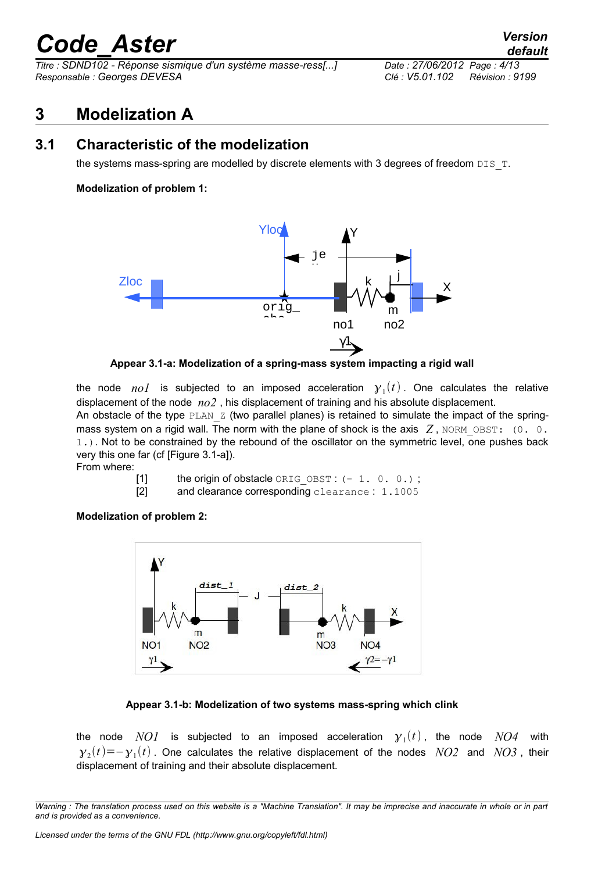*Titre : SDND102 - Réponse sismique d'un système masse-ress[...] Date : 27/06/2012 Page : 4/13 Responsable : Georges DEVESA Clé : V5.01.102 Révision : 9199*

## **3 Modelization A**

#### **3.1 Characteristic of the modelization**

the systems mass-spring are modelled by discrete elements with 3 degrees of freedom  $DIS$  T.

#### **Modelization of problem 1:**



**Appear 3.1-a: Modelization of a spring-mass system impacting a rigid wall**

the node  $nol$  is subjected to an imposed acceleration  $y_1(t)$ . One calculates the relative displacement of the node *no2* , his displacement of training and his absolute displacement. An obstacle of the type  $PLAN_Z$  (two parallel planes) is retained to simulate the impact of the springmass system on a rigid wall. The norm with the plane of shock is the axis  $Z$ , NORM OBST: (0. 0.

1.). Not to be constrained by the rebound of the oscillator on the symmetric level, one pushes back very this one far (cf [Figure 3.1-a]).

From where:

- [1] the origin of obstacle  $ORIG$  OBST :  $(-1, 0, 0.)$ ;
- [2] and clearance corresponding clearance : 1.1005

**Modelization of problem 2:**



#### **Appear 3.1-b: Modelization of two systems mass-spring which clink**

the node  $NOI$  is subjected to an imposed acceleration  ${\cal Y}_1(t)$ , the node  $NO4$  with  ${\gamma}_2(t) {=} {-}{\gamma}_1(t)$  . One calculates the relative displacement of the nodes  $~NO2~$  and  $~NO3$  , their displacement of training and their absolute displacement.

*Warning : The translation process used on this website is a "Machine Translation". It may be imprecise and inaccurate in whole or in part and is provided as a convenience.*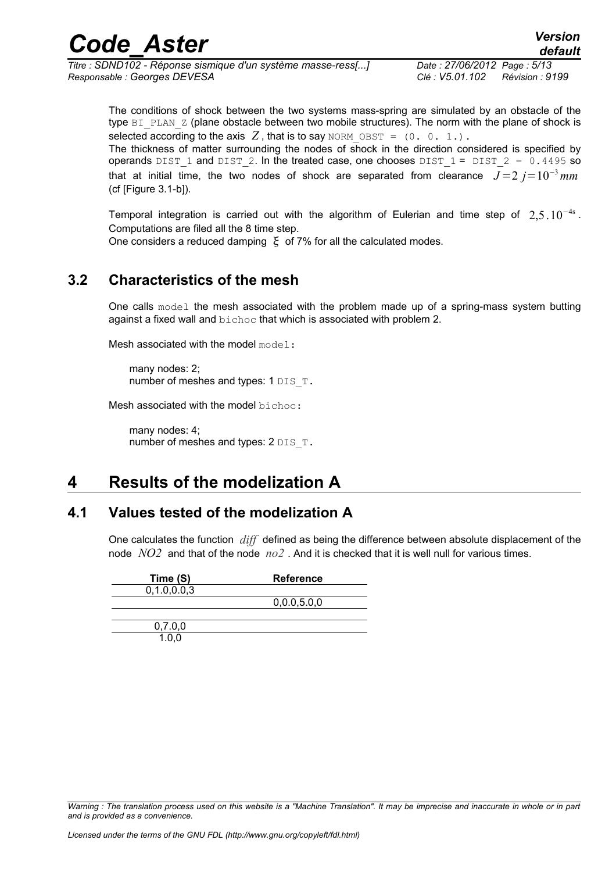| <b>Code Aster</b>                                            | <b>Version</b><br>default          |
|--------------------------------------------------------------|------------------------------------|
| Titre : SDND102 - Réponse sismique d'un système masse-ress[] | Date: 27/06/2012 Page: 5/13        |
| Responsable : Georges DEVESA                                 | Clé : V5.01.102<br>Révision : 9199 |

The conditions of shock between the two systems mass-spring are simulated by an obstacle of the type BI PLAN Z (plane obstacle between two mobile structures). The norm with the plane of shock is selected according to the axis  $Z$ , that is to say NORM OBST =  $(0, 0, 1)$ .

The thickness of matter surrounding the nodes of shock in the direction considered is specified by operands DIST 1 and DIST 2. In the treated case, one chooses DIST  $1 =$  DIST  $2 = 0.4495$  so that at initial time, the two nodes of shock are separated from clearance  $J=2$   $j=10^{-3}$  mm (cf [Figure 3.1-b]).

Temporal integration is carried out with the algorithm of Eulerian and time step of  $2,5.10^{-4s}$ . Computations are filed all the 8 time step.

One considers a reduced damping  $\epsilon$  of 7% for all the calculated modes.

#### **3.2 Characteristics of the mesh**

One calls model the mesh associated with the problem made up of a spring-mass system butting against a fixed wall and bichoc that which is associated with problem 2.

Mesh associated with the model model:

many nodes: 2; number of meshes and types: 1 DIS T.

Mesh associated with the model bichoc:

many nodes: 4; number of meshes and types:  $2$  DIS  $T$ .

### **4 Results of the modelization A**

#### **4.1 Values tested of the modelization A**

One calculates the function *diff* defined as being the difference between absolute displacement of the node *NO2* and that of the node *no2* . And it is checked that it is well null for various times.

| Time (S)       | <b>Reference</b> |
|----------------|------------------|
| 0, 1.0, 0.0, 3 |                  |
|                | 0,0.0,5.0,0      |
|                |                  |
| 0,7.0,0        |                  |
| 1.0.0          |                  |

*Warning : The translation process used on this website is a "Machine Translation". It may be imprecise and inaccurate in whole or in part and is provided as a convenience.*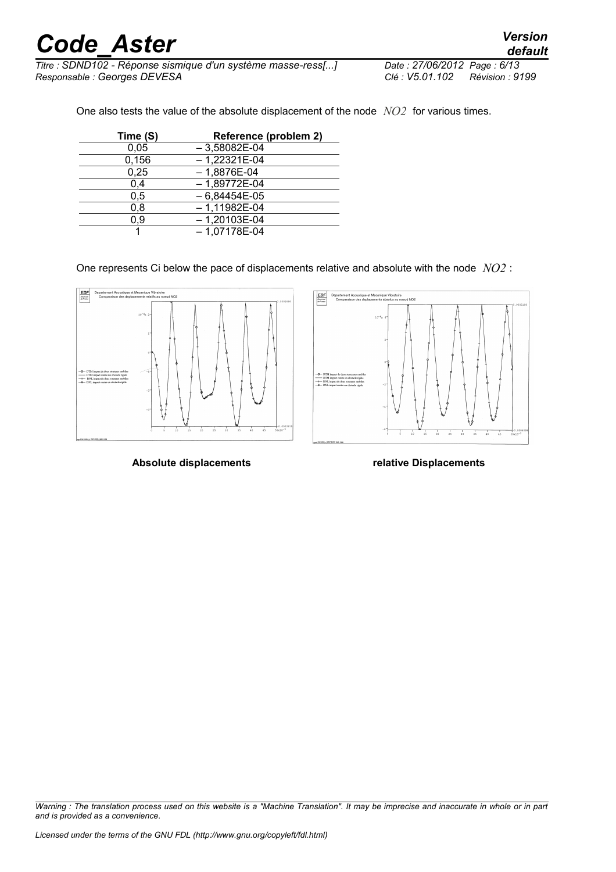*Titre : SDND102 - Réponse sismique d'un système masse-ress[...] Date : 27/06/2012 Page : 6/13 Responsable : Georges DEVESA Clé : V5.01.102 Révision : 9199*

One also tests the value of the absolute displacement of the node *NO2* for various times.

| Time (S) | Reference (problem 2) |
|----------|-----------------------|
| 0.05     | $-3,58082E-04$        |
| 0,156    | $-1,22321E-04$        |
| 0,25     | $-1,8876E-04$         |
| 0,4      | $-1,89772E-04$        |
| 0,5      | $-6,84454E-05$        |
| 0,8      | $-1,11982E-04$        |
| 0.9      | $-1,20103E-04$        |
|          | $-1,07178E-04$        |

One represents Ci below the pace of displacements relative and absolute with the node *NO2* :





**Absolute displacements relative Displacements**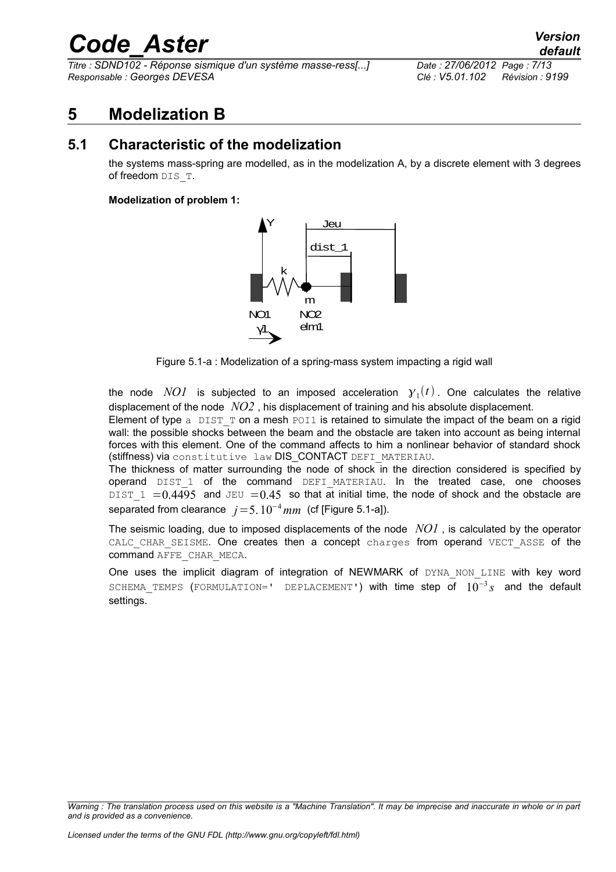*Titre : SDND102 - Réponse sismique d'un système masse-ress[...] Date : 27/06/2012 Page : 7/13 Responsable : Georges DEVESA Clé : V5.01.102 Révision : 9199*

*default*

### **5 Modelization B**

### **5.1 Characteristic of the modelization**

the systems mass-spring are modelled, as in the modelization A, by a discrete element with 3 degrees of freedom DIS\_T.

#### **Modelization of problem 1:**



Figure 5.1-a : Modelization of a spring-mass system impacting a rigid wall

the node  $NOI$  is subjected to an imposed acceleration  $y_1(t)$ . One calculates the relative displacement of the node *NO2* , his displacement of training and his absolute displacement.

Element of type  $a$  DIST T on a mesh POI1 is retained to simulate the impact of the beam on a rigid wall: the possible shocks between the beam and the obstacle are taken into account as being internal forces with this element. One of the command affects to him a nonlinear behavior of standard shock (stiffness) via constitutive law DIS\_CONTACT DEFI\_MATERIAU.

The thickness of matter surrounding the node of shock in the direction considered is specified by operand DIST 1 of the command DEFI\_MATERIAU. In the treated case, one chooses DIST 1 =  $0.4495$  and JEU =  $0.45$  so that at initial time, the node of shock and the obstacle are separated from clearance  $j=5. 10^{-4}$  mm (cf [Figure 5.1-a]).

The seismic loading, due to imposed displacements of the node *NO1* , is calculated by the operator CALC CHAR SEISME. One creates then a concept charges from operand VECT ASSE of the command AFFE\_CHAR\_MECA.

One uses the implicit diagram of integration of NEWMARK of DYNA NON LINE with key word SCHEMA\_TEMPS (FORMULATION=' DEPLACEMENT') with time step of 10<sup>−</sup><sup>3</sup> *s* and the default settings.

*Warning : The translation process used on this website is a "Machine Translation". It may be imprecise and inaccurate in whole or in part and is provided as a convenience.*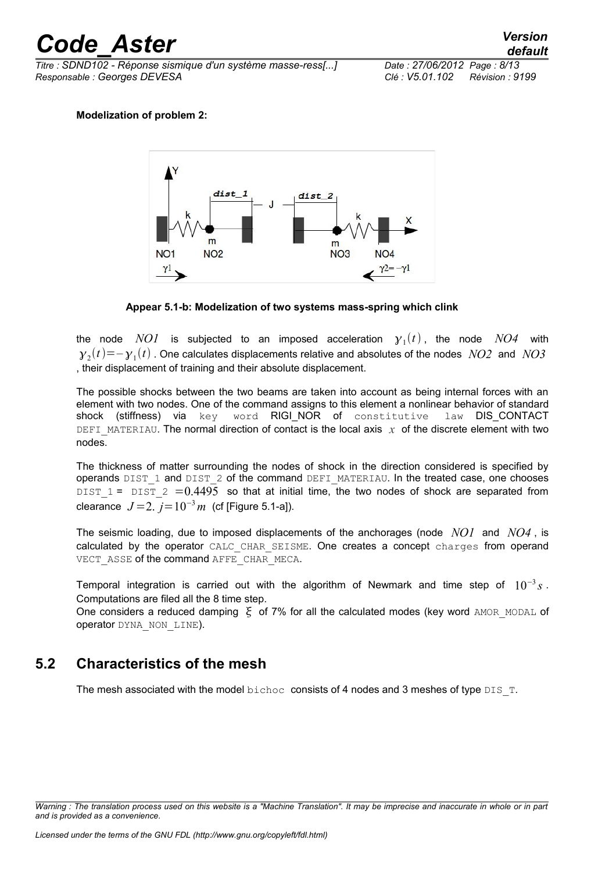*Titre : SDND102 - Réponse sismique d'un système masse-ress[...] Date : 27/06/2012 Page : 8/13 Responsable : Georges DEVESA Clé : V5.01.102 Révision : 9199*

#### **Modelization of problem 2:**



**Appear 5.1-b: Modelization of two systems mass-spring which clink**

the node  $NOI$  is subjected to an imposed acceleration  ${\cal Y}_1(t)$ , the node  $NO4$  with  ${\gamma}_2(t) {=} {-}{\gamma}_1(t)$  . One calculates displacements relative and absolutes of the nodes  $~NO2~$  and  $~NO3~$ , their displacement of training and their absolute displacement.

The possible shocks between the two beams are taken into account as being internal forces with an element with two nodes. One of the command assigns to this element a nonlinear behavior of standard shock (stiffness) via key word RIGINOR of constitutive law DIS\_CONTACT DEFI\_MATERIAU. The normal direction of contact is the local axis  $\chi$  of the discrete element with two nodes.

The thickness of matter surrounding the nodes of shock in the direction considered is specified by operands DIST\_1 and DIST\_2 of the command DEFI\_MATERIAU. In the treated case, one chooses DIST 1 = DIST  $2 = 0.4495$  so that at initial time, the two nodes of shock are separated from clearance  $J = 2$ .  $j = 10^{-3} m$  (cf [Figure 5.1-a]).

The seismic loading, due to imposed displacements of the anchorages (node *NO1* and *NO4* , is calculated by the operator CALC CHAR SEISME. One creates a concept charges from operand VECT ASSE of the command AFFE CHAR MECA.

Temporal integration is carried out with the algorithm of Newmark and time step of 10<sup>−</sup><sup>3</sup> *s* . Computations are filed all the 8 time step.

One considers a reduced damping  $\xi$  of 7% for all the calculated modes (key word AMOR\_MODAL of operator DYNA\_NON\_LINE).

#### **5.2 Characteristics of the mesh**

The mesh associated with the model bichoc consists of 4 nodes and 3 meshes of type DIS  $T$ .

*Warning : The translation process used on this website is a "Machine Translation". It may be imprecise and inaccurate in whole or in part and is provided as a convenience.*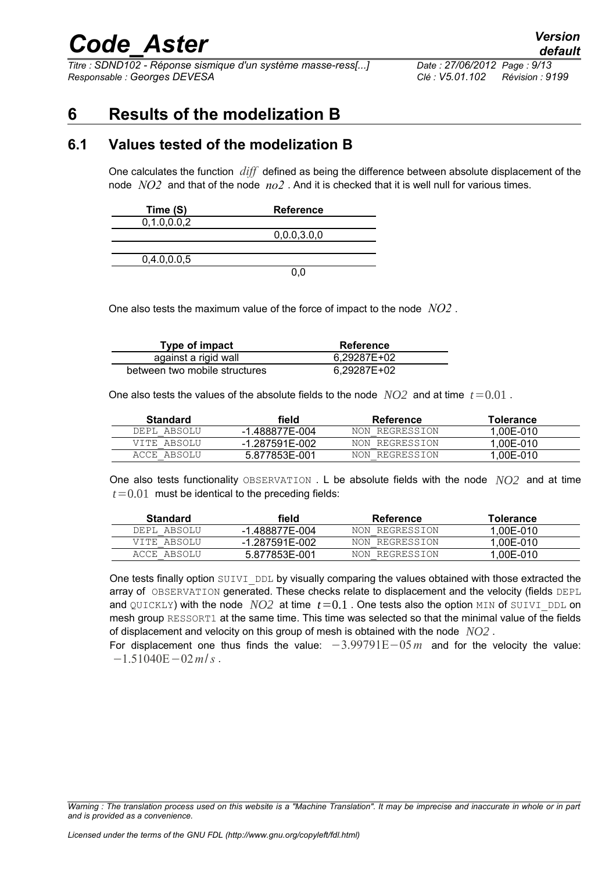*Titre : SDND102 - Réponse sismique d'un système masse-ress[...] Date : 27/06/2012 Page : 9/13 Responsable : Georges DEVESA Clé : V5.01.102 Révision : 9199*

## **6 Results of the modelization B**

#### **6.1 Values tested of the modelization B**

One calculates the function *diff* defined as being the difference between absolute displacement of the node *NO2* and that of the node *no2* . And it is checked that it is well null for various times.

| Time (S)       | <b>Reference</b> |
|----------------|------------------|
| 0, 1.0, 0.0, 2 |                  |
|                | 0,0.0,3.0,0      |
|                |                  |
| 0,4.0,0.0,5    |                  |
|                |                  |

One also tests the maximum value of the force of impact to the node *NO2* .

| Type of impact                | Reference   |
|-------------------------------|-------------|
| against a rigid wall          | 6.29287E+02 |
| between two mobile structures | 6.29287E+02 |

One also tests the values of the absolute fields to the node  $NO2$  and at time  $t=0.01$ .

| Standard    | field          | Reference      | Tolerance |
|-------------|----------------|----------------|-----------|
| DEPL ABSOLU | -1.488877E-004 | NON REGRESSION | 1.00E-010 |
| VITE ABSOLU | -1.287591E-002 | NON REGRESSION | 1.00E-010 |
| ACCE ABSOLU | 5.877853E-001  | NON REGRESSION | 1.00E-010 |

One also tests functionality OBSERVATION . L be absolute fields with the node *NO2* and at time  $t=0.01$  must be identical to the preceding fields:

| <b>Standard</b> | field          | Reference      | <b>Tolerance</b> |
|-----------------|----------------|----------------|------------------|
| DEPL ABSOLU     | -1.488877E-004 | NON REGRESSION | 1.00E-010        |
| VITE ABSOLU     | -1.287591E-002 | NON REGRESSION | 1.00E-010        |
| ACCE ABSOLU     | 5.877853E-001  | NON REGRESSION | 1.00E-010        |

One tests finally option SUIVI\_DDL by visually comparing the values obtained with those extracted the array of OBSERVATION generated. These checks relate to displacement and the velocity (fields DEPL and QUICKLY) with the node  $NO2$  at time  $t=0.1$ . One tests also the option MIN of SUIVI DDL on mesh group RESSORT1 at the same time. This time was selected so that the minimal value of the fields of displacement and velocity on this group of mesh is obtained with the node *NO2* .

For displacement one thus finds the value: −3.99791E−05*m* and for the velocity the value: −1.51040E−02*m*/*s* .

*Warning : The translation process used on this website is a "Machine Translation". It may be imprecise and inaccurate in whole or in part and is provided as a convenience.*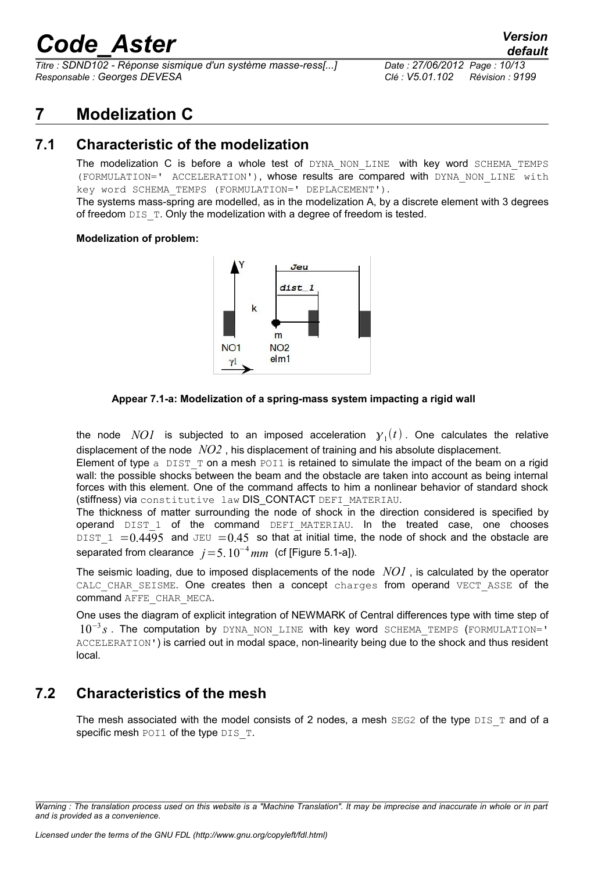*Titre : SDND102 - Réponse sismique d'un système masse-ress[...] Date : 27/06/2012 Page : 10/13 Responsable : Georges DEVESA Clé : V5.01.102 Révision : 9199*

## **7 Modelization C**

### **7.1 Characteristic of the modelization**

The modelization C is before a whole test of DYNA NON LINE with key word SCHEMA TEMPS (FORMULATION=' ACCELERATION'), whose results are compared with DYNA\_NON\_LINE with key word SCHEMA\_TEMPS (FORMULATION=' DEPLACEMENT').

The systems mass-spring are modelled, as in the modelization A, by a discrete element with 3 degrees of freedom DIS\_T. Only the modelization with a degree of freedom is tested.

#### **Modelization of problem:**



 **Appear 7.1-a: Modelization of a spring-mass system impacting a rigid wall**

the node  $NOI$  is subjected to an imposed acceleration  $y_1(t)$ . One calculates the relative displacement of the node *NO2* , his displacement of training and his absolute displacement.

Element of type  $a$  DIST T on a mesh POI1 is retained to simulate the impact of the beam on a rigid wall: the possible shocks between the beam and the obstacle are taken into account as being internal forces with this element. One of the command affects to him a nonlinear behavior of standard shock (stiffness) via constitutive law DIS CONTACT DEFI\_MATERIAU.

The thickness of matter surrounding the node of shock in the direction considered is specified by operand DIST 1 of the command DEFI MATERIAU. In the treated case, one chooses DIST  $1 = 0.4495$  and JEU = 0.45 so that at initial time, the node of shock and the obstacle are separated from clearance *j*=5.10<sup>−</sup><sup>4</sup>*mm* (cf [Figure 5.1-a]).

The seismic loading, due to imposed displacements of the node *NO1* , is calculated by the operator CALC CHAR SEISME. One creates then a concept charges from operand VECT ASSE of the command AFFE\_CHAR\_MECA.

One uses the diagram of explicit integration of NEWMARK of Central differences type with time step of 10<sup>-3</sup> s. The computation by DYNA\_NON\_LINE with key word SCHEMA\_TEMPS (FORMULATION=' ACCELERATION') is carried out in modal space, non-linearity being due to the shock and thus resident local.

#### **7.2 Characteristics of the mesh**

The mesh associated with the model consists of 2 nodes, a mesh  $SEG2$  of the type  $DIST$  and of a specific mesh POI1 of the type DIS T.

*Warning : The translation process used on this website is a "Machine Translation". It may be imprecise and inaccurate in whole or in part and is provided as a convenience.*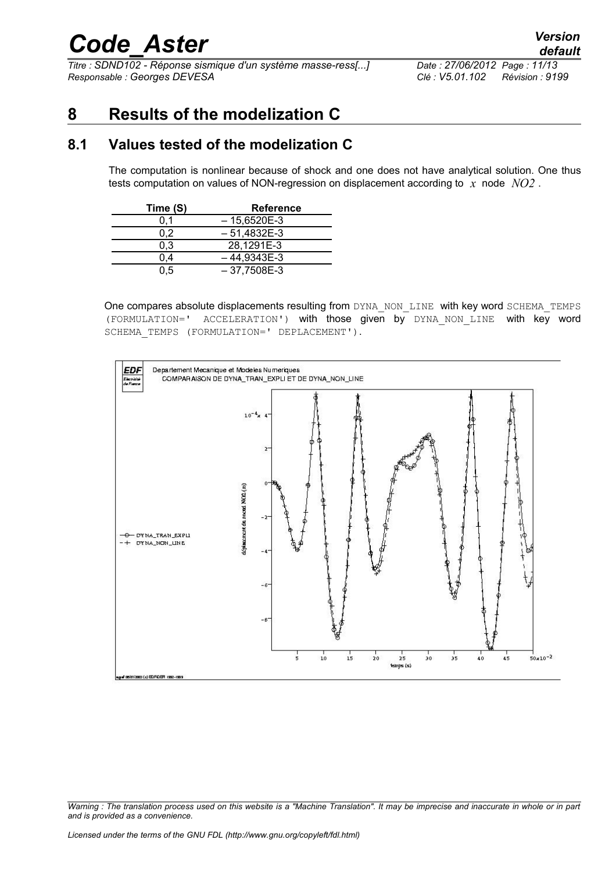*Titre : SDND102 - Réponse sismique d'un système masse-ress[...] Date : 27/06/2012 Page : 11/13 Responsable : Georges DEVESA Clé : V5.01.102 Révision : 9199*

## **8 Results of the modelization C**

#### **8.1 Values tested of the modelization C**

The computation is nonlinear because of shock and one does not have analytical solution. One thus tests computation on values of NON-regression on displacement according to *x* node *NO2* .

| Time (S) | <b>Reference</b> |
|----------|------------------|
|          | $-15,6520E-3$    |
| 0.2      | $-51.4832E-3$    |
| 0.3      | 28,1291E-3       |
| 0.4      | $-44.9343E-3$    |
| 0.5      | $-37,7508E-3$    |

One compares absolute displacements resulting from DYNA\_NON\_LINE with key word SCHEMA\_TEMPS (FORMULATION=' ACCELERATION') with those given by DYNA\_NON\_LINE with key word SCHEMA TEMPS (FORMULATION=' DEPLACEMENT').



*Warning : The translation process used on this website is a "Machine Translation". It may be imprecise and inaccurate in whole or in part and is provided as a convenience.*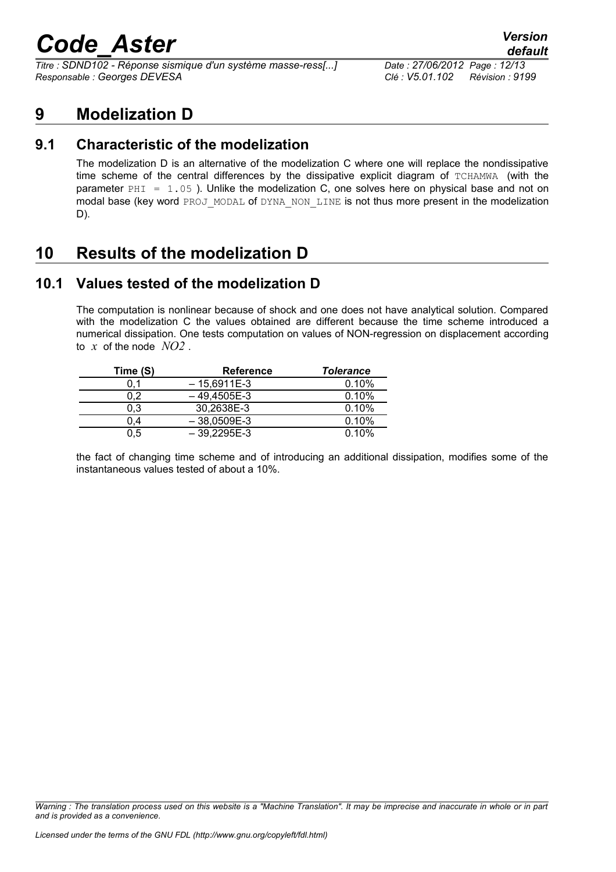*Titre : SDND102 - Réponse sismique d'un système masse-ress[...] Date : 27/06/2012 Page : 12/13 Responsable : Georges DEVESA Clé : V5.01.102 Révision : 9199*

### **9 Modelization D**

### **9.1 Characteristic of the modelization**

The modelization D is an alternative of the modelization C where one will replace the nondissipative time scheme of the central differences by the dissipative explicit diagram of TCHAMWA (with the parameter  $PHI = 1.05$ ). Unlike the modelization C, one solves here on physical base and not on modal base (key word PROJ\_MODAL of DYNA\_NON\_LINE is not thus more present in the modelization D).

## **10 Results of the modelization D**

### **10.1 Values tested of the modelization D**

The computation is nonlinear because of shock and one does not have analytical solution. Compared with the modelization C the values obtained are different because the time scheme introduced a numerical dissipation. One tests computation on values of NON-regression on displacement according to *x* of the node *NO2* .

| Time (S) | <b>Reference</b> | <b>Tolerance</b> |
|----------|------------------|------------------|
| 0.1      | $-15.6911E-3$    | 0.10%            |
| 0.2      | $-49.4505E-3$    | 0.10%            |
| 0,3      | 30.2638E-3       | 0.10%            |
| 0.4      | $-38.0509E-3$    | 0.10%            |
| 0.5      | $-39,2295E-3$    | 0.10%            |

the fact of changing time scheme and of introducing an additional dissipation, modifies some of the instantaneous values tested of about a 10%.

*Warning : The translation process used on this website is a "Machine Translation". It may be imprecise and inaccurate in whole or in part and is provided as a convenience.*